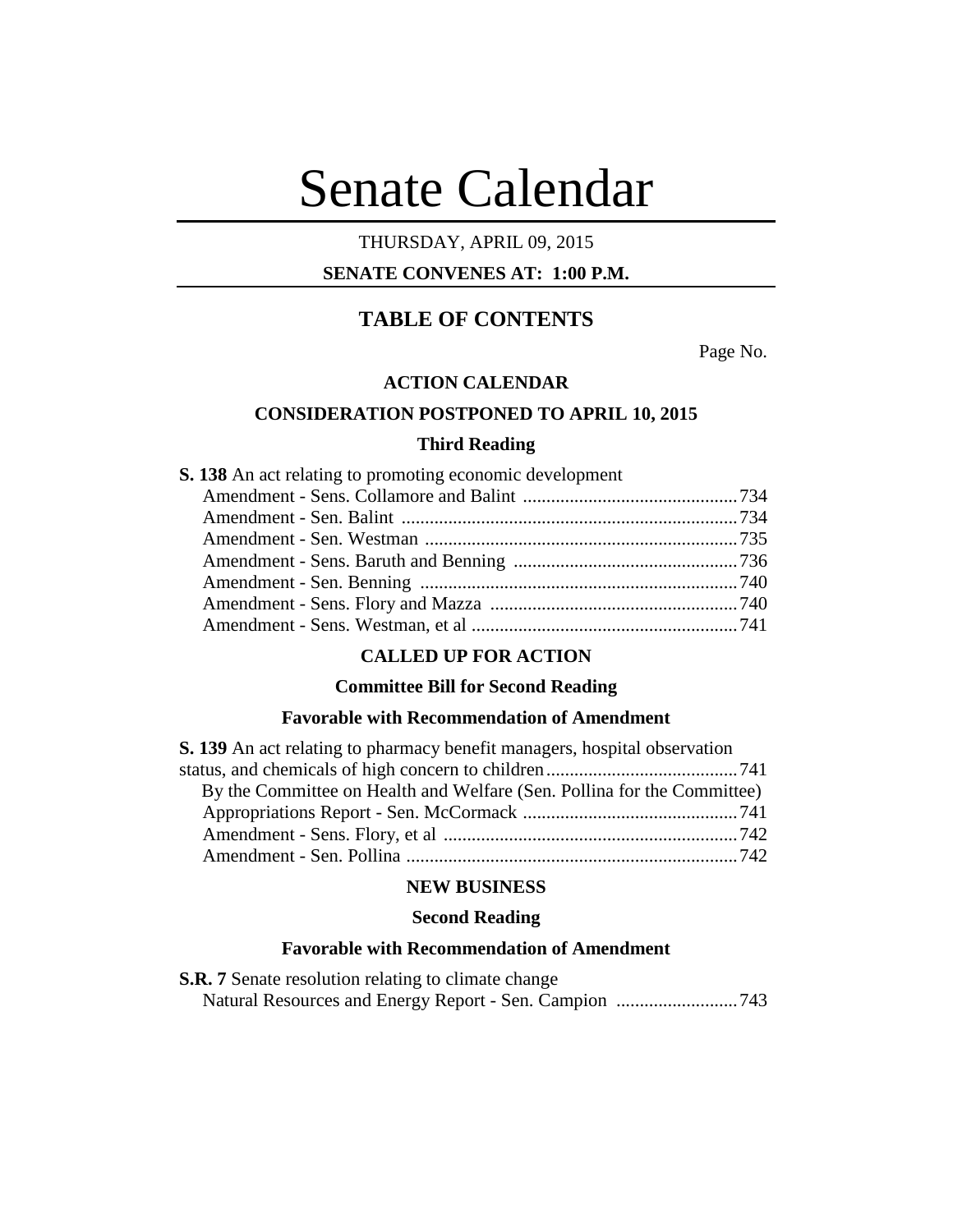# Senate Calendar

# THURSDAY, APRIL 09, 2015

# **SENATE CONVENES AT: 1:00 P.M.**

# **TABLE OF CONTENTS**

Page No.

# **ACTION CALENDAR**

## **CONSIDERATION POSTPONED TO APRIL 10, 2015**

# **Third Reading**

**S. 138** An act relating to promoting economic development

# **CALLED UP FOR ACTION**

#### **Committee Bill for Second Reading**

# **Favorable with Recommendation of Amendment**

| S. 139 An act relating to pharmacy benefit managers, hospital observation |  |
|---------------------------------------------------------------------------|--|
|                                                                           |  |
| By the Committee on Health and Welfare (Sen. Pollina for the Committee)   |  |
|                                                                           |  |
|                                                                           |  |
|                                                                           |  |

# **NEW BUSINESS**

# **Second Reading**

#### **Favorable with Recommendation of Amendment**

**S.R. 7** Senate resolution relating to climate change Natural Resources and Energy Report - Sen. Campion ..........................743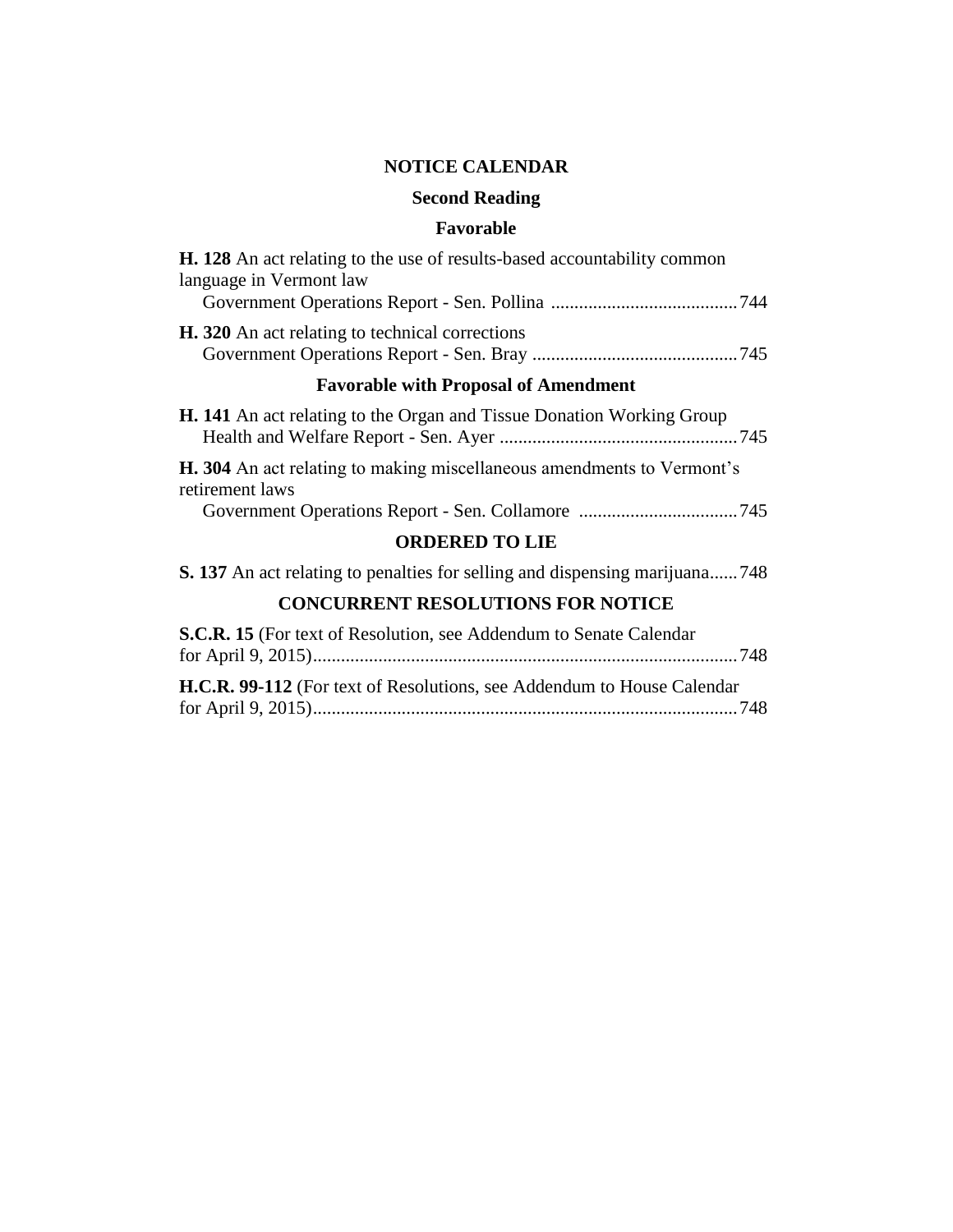# **NOTICE CALENDAR**

# **Second Reading**

# **Favorable**

# **CONCURRENT RESOLUTIONS FOR NOTICE**

| <b>S.C.R. 15</b> (For text of Resolution, see Addendum to Senate Calendar)     |  |
|--------------------------------------------------------------------------------|--|
|                                                                                |  |
| <b>H.C.R. 99-112</b> (For text of Resolutions, see Addendum to House Calendar) |  |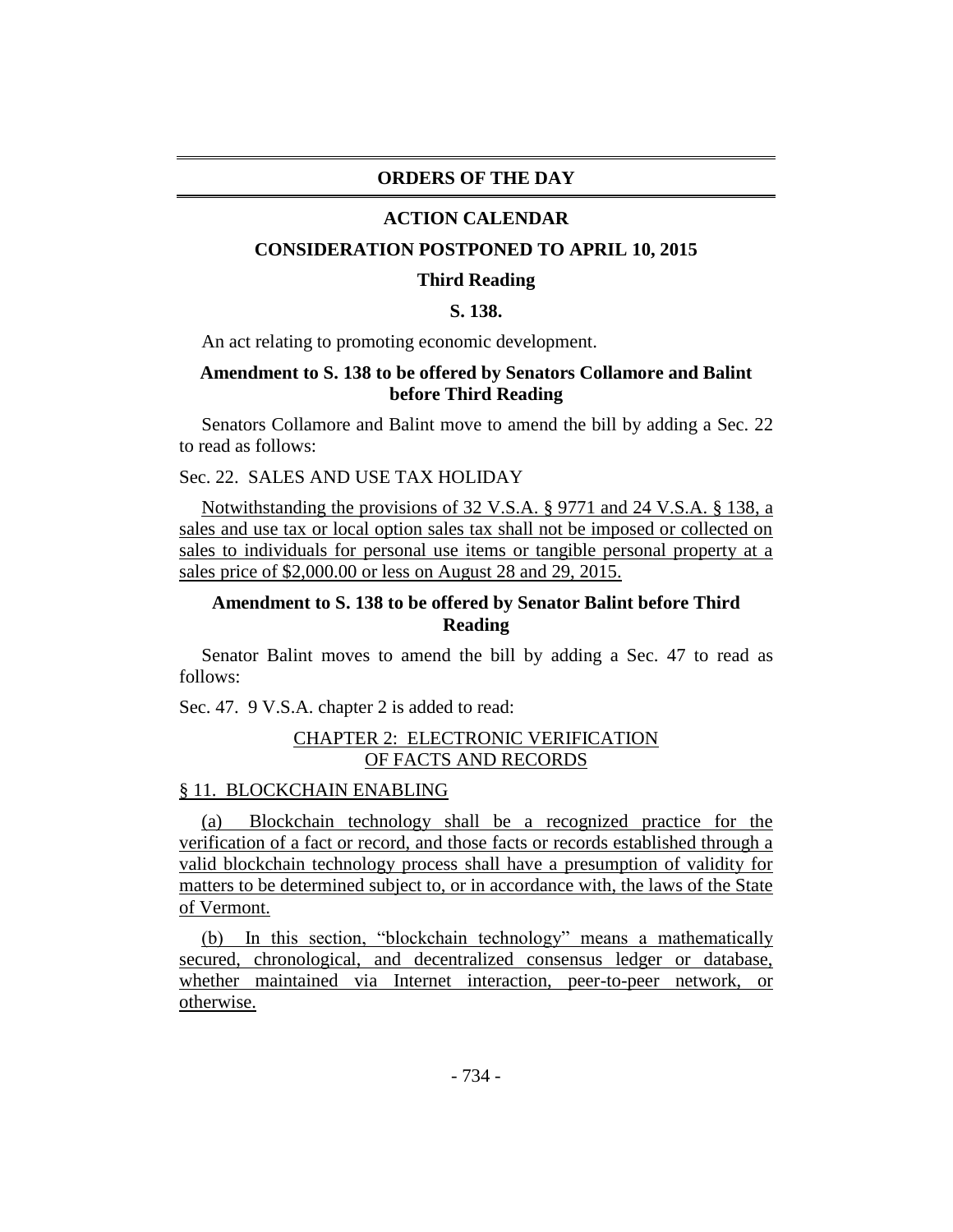#### **ORDERS OF THE DAY**

#### **ACTION CALENDAR**

#### **CONSIDERATION POSTPONED TO APRIL 10, 2015**

#### **Third Reading**

# **S. 138.**

An act relating to promoting economic development.

# **Amendment to S. 138 to be offered by Senators Collamore and Balint before Third Reading**

Senators Collamore and Balint move to amend the bill by adding a Sec. 22 to read as follows:

# Sec. 22. SALES AND USE TAX HOLIDAY

Notwithstanding the provisions of 32 V.S.A. § 9771 and 24 V.S.A. § 138, a sales and use tax or local option sales tax shall not be imposed or collected on sales to individuals for personal use items or tangible personal property at a sales price of \$2,000.00 or less on August 28 and 29, 2015.

# **Amendment to S. 138 to be offered by Senator Balint before Third Reading**

Senator Balint moves to amend the bill by adding a Sec. 47 to read as follows:

Sec. 47. 9 V.S.A. chapter 2 is added to read:

## CHAPTER 2: ELECTRONIC VERIFICATION OF FACTS AND RECORDS

#### § 11. BLOCKCHAIN ENABLING

(a) Blockchain technology shall be a recognized practice for the verification of a fact or record, and those facts or records established through a valid blockchain technology process shall have a presumption of validity for matters to be determined subject to, or in accordance with, the laws of the State of Vermont.

(b) In this section, "blockchain technology" means a mathematically secured, chronological, and decentralized consensus ledger or database, whether maintained via Internet interaction, peer-to-peer network, or otherwise.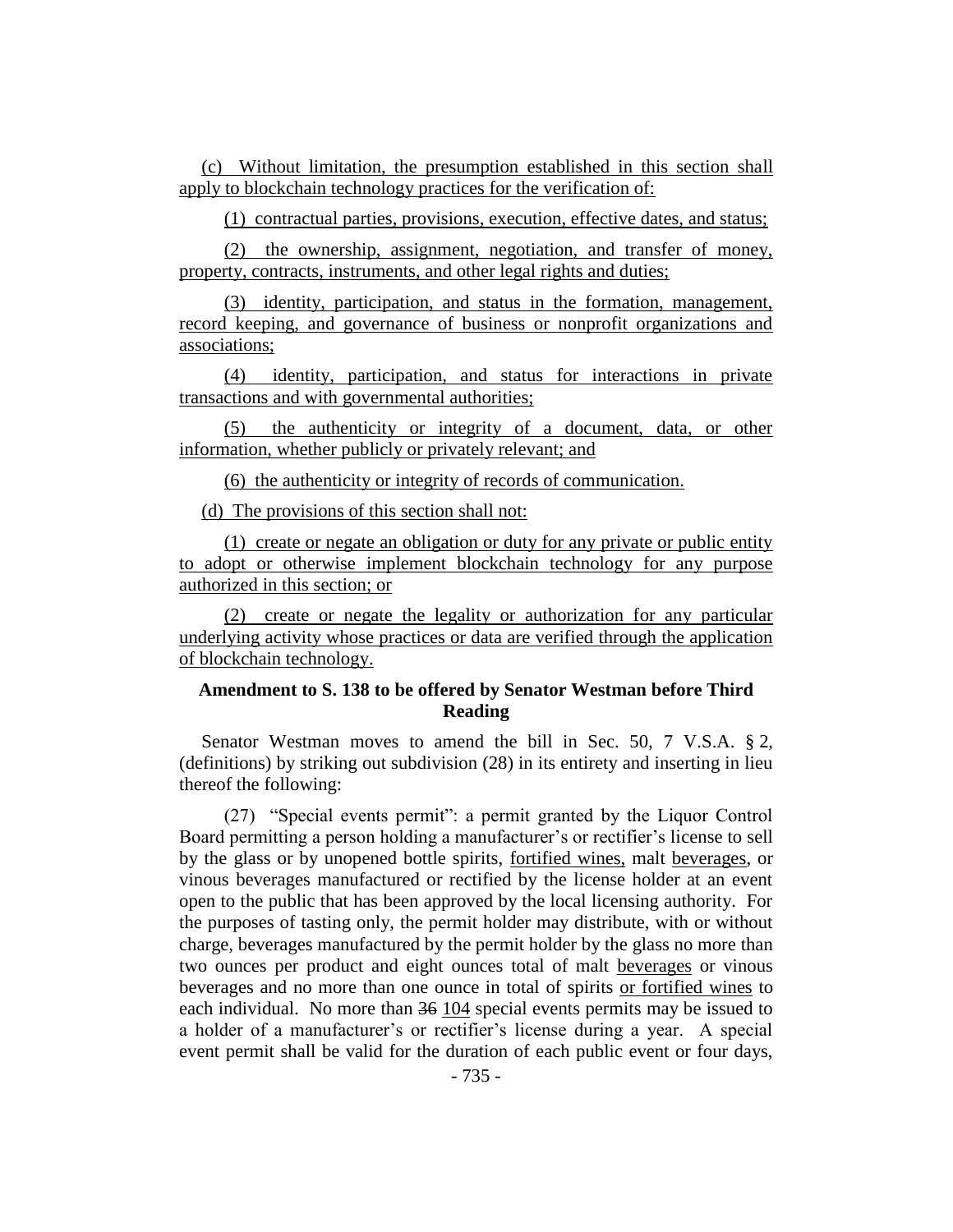(c) Without limitation, the presumption established in this section shall apply to blockchain technology practices for the verification of:

(1) contractual parties, provisions, execution, effective dates, and status;

(2) the ownership, assignment, negotiation, and transfer of money, property, contracts, instruments, and other legal rights and duties;

(3) identity, participation, and status in the formation, management, record keeping, and governance of business or nonprofit organizations and associations;

(4) identity, participation, and status for interactions in private transactions and with governmental authorities;

(5) the authenticity or integrity of a document, data, or other information, whether publicly or privately relevant; and

(6) the authenticity or integrity of records of communication.

(d) The provisions of this section shall not:

(1) create or negate an obligation or duty for any private or public entity to adopt or otherwise implement blockchain technology for any purpose authorized in this section; or

(2) create or negate the legality or authorization for any particular underlying activity whose practices or data are verified through the application of blockchain technology.

# **Amendment to S. 138 to be offered by Senator Westman before Third Reading**

Senator Westman moves to amend the bill in Sec. 50, 7 V.S.A. § 2, (definitions) by striking out subdivision (28) in its entirety and inserting in lieu thereof the following:

(27) "Special events permit": a permit granted by the Liquor Control Board permitting a person holding a manufacturer's or rectifier's license to sell by the glass or by unopened bottle spirits, fortified wines, malt beverages, or vinous beverages manufactured or rectified by the license holder at an event open to the public that has been approved by the local licensing authority. For the purposes of tasting only, the permit holder may distribute, with or without charge, beverages manufactured by the permit holder by the glass no more than two ounces per product and eight ounces total of malt beverages or vinous beverages and no more than one ounce in total of spirits or fortified wines to each individual. No more than 36 104 special events permits may be issued to a holder of a manufacturer's or rectifier's license during a year. A special event permit shall be valid for the duration of each public event or four days,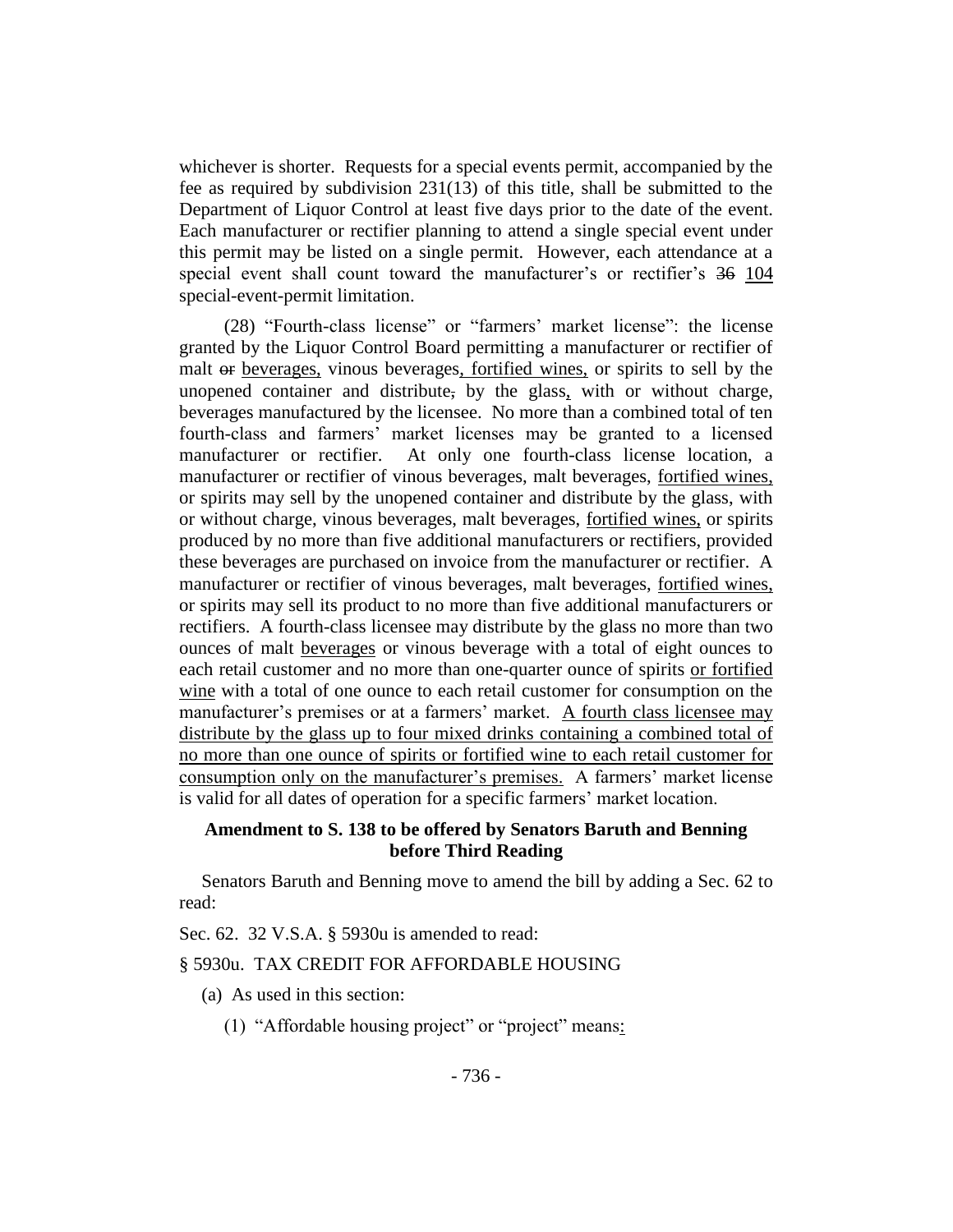whichever is shorter. Requests for a special events permit, accompanied by the fee as required by subdivision 231(13) of this title, shall be submitted to the Department of Liquor Control at least five days prior to the date of the event. Each manufacturer or rectifier planning to attend a single special event under this permit may be listed on a single permit. However, each attendance at a special event shall count toward the manufacturer's or rectifier's 36 104 special-event-permit limitation.

(28) "Fourth-class license" or "farmers' market license": the license granted by the Liquor Control Board permitting a manufacturer or rectifier of malt or beverages, vinous beverages, fortified wines, or spirits to sell by the unopened container and distribute, by the glass, with or without charge, beverages manufactured by the licensee. No more than a combined total of ten fourth-class and farmers' market licenses may be granted to a licensed manufacturer or rectifier. At only one fourth-class license location, a manufacturer or rectifier of vinous beverages, malt beverages, fortified wines, or spirits may sell by the unopened container and distribute by the glass, with or without charge, vinous beverages, malt beverages, fortified wines, or spirits produced by no more than five additional manufacturers or rectifiers, provided these beverages are purchased on invoice from the manufacturer or rectifier. A manufacturer or rectifier of vinous beverages, malt beverages, fortified wines, or spirits may sell its product to no more than five additional manufacturers or rectifiers. A fourth-class licensee may distribute by the glass no more than two ounces of malt beverages or vinous beverage with a total of eight ounces to each retail customer and no more than one-quarter ounce of spirits or fortified wine with a total of one ounce to each retail customer for consumption on the manufacturer's premises or at a farmers' market. A fourth class licensee may distribute by the glass up to four mixed drinks containing a combined total of no more than one ounce of spirits or fortified wine to each retail customer for consumption only on the manufacturer's premises. A farmers' market license is valid for all dates of operation for a specific farmers' market location.

# **Amendment to S. 138 to be offered by Senators Baruth and Benning before Third Reading**

Senators Baruth and Benning move to amend the bill by adding a Sec. 62 to read:

Sec. 62. 32 V.S.A. § 5930u is amended to read:

#### § 5930u. TAX CREDIT FOR AFFORDABLE HOUSING

- (a) As used in this section:
	- (1) "Affordable housing project" or "project" means: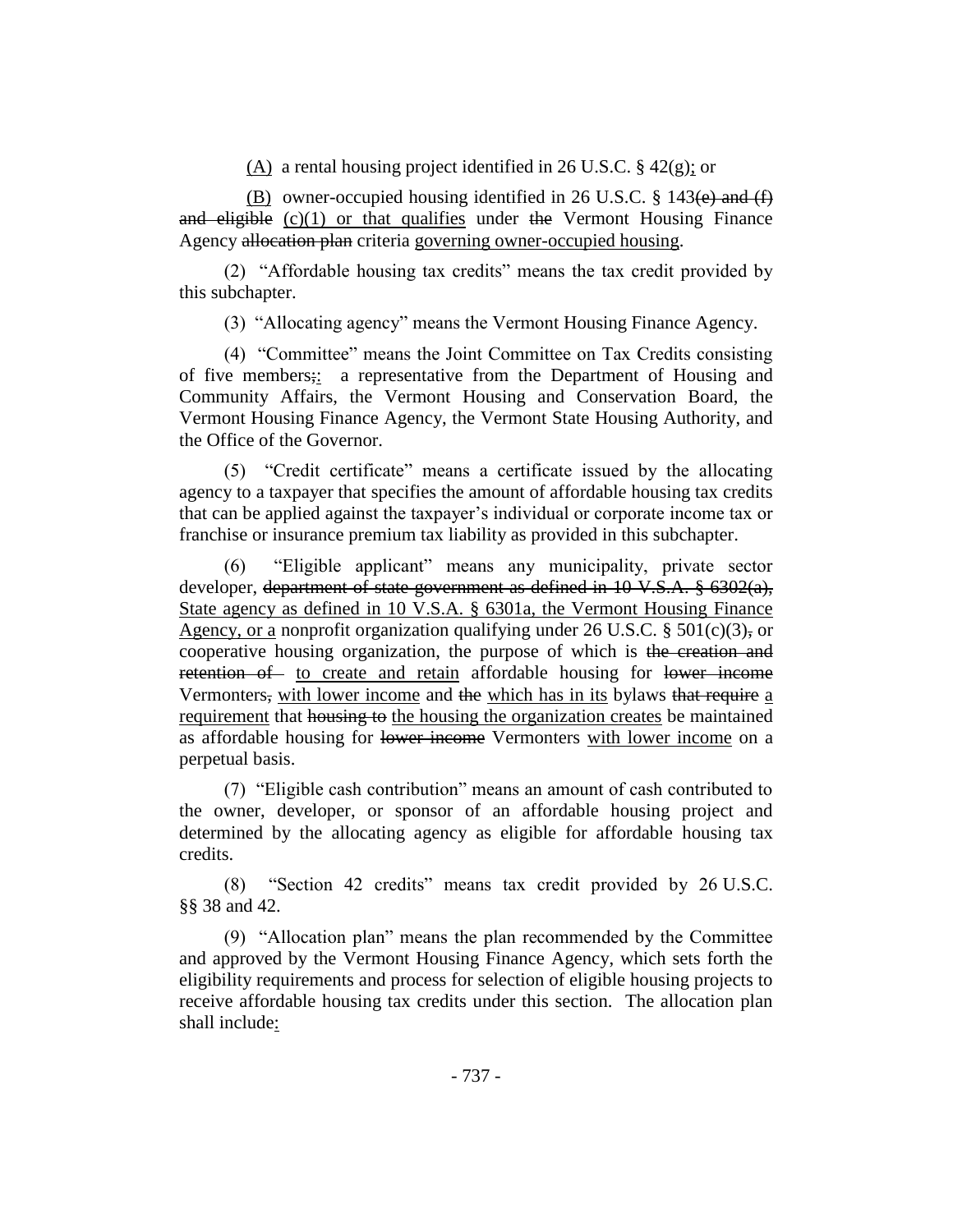(A) a rental housing project identified in 26 U.S.C. § 42(g); or

(B) owner-occupied housing identified in 26 U.S.C.  $\S$  143(e) and (f) and eligible  $(c)(1)$  or that qualifies under the Vermont Housing Finance Agency allocation plan criteria governing owner-occupied housing.

(2) "Affordable housing tax credits" means the tax credit provided by this subchapter.

(3) "Allocating agency" means the Vermont Housing Finance Agency.

(4) "Committee" means the Joint Committee on Tax Credits consisting of five members;: a representative from the Department of Housing and Community Affairs, the Vermont Housing and Conservation Board, the Vermont Housing Finance Agency, the Vermont State Housing Authority, and the Office of the Governor.

(5) "Credit certificate" means a certificate issued by the allocating agency to a taxpayer that specifies the amount of affordable housing tax credits that can be applied against the taxpayer's individual or corporate income tax or franchise or insurance premium tax liability as provided in this subchapter.

(6) "Eligible applicant" means any municipality, private sector developer, department of state government as defined in 10 V.S.A. § 6302(a), State agency as defined in 10 V.S.A. § 6301a, the Vermont Housing Finance Agency, or a nonprofit organization qualifying under 26 U.S.C. § 501 $(c)(3)$ , or cooperative housing organization, the purpose of which is the creation and retention of to create and retain affordable housing for lower income Vermonters, with lower income and the which has in its bylaws that require a requirement that housing to the housing the organization creates be maintained as affordable housing for lower income Vermonters with lower income on a perpetual basis.

(7) "Eligible cash contribution" means an amount of cash contributed to the owner, developer, or sponsor of an affordable housing project and determined by the allocating agency as eligible for affordable housing tax credits.

(8) "Section 42 credits" means tax credit provided by 26 U.S.C. §§ 38 and 42.

(9) "Allocation plan" means the plan recommended by the Committee and approved by the Vermont Housing Finance Agency, which sets forth the eligibility requirements and process for selection of eligible housing projects to receive affordable housing tax credits under this section. The allocation plan shall include: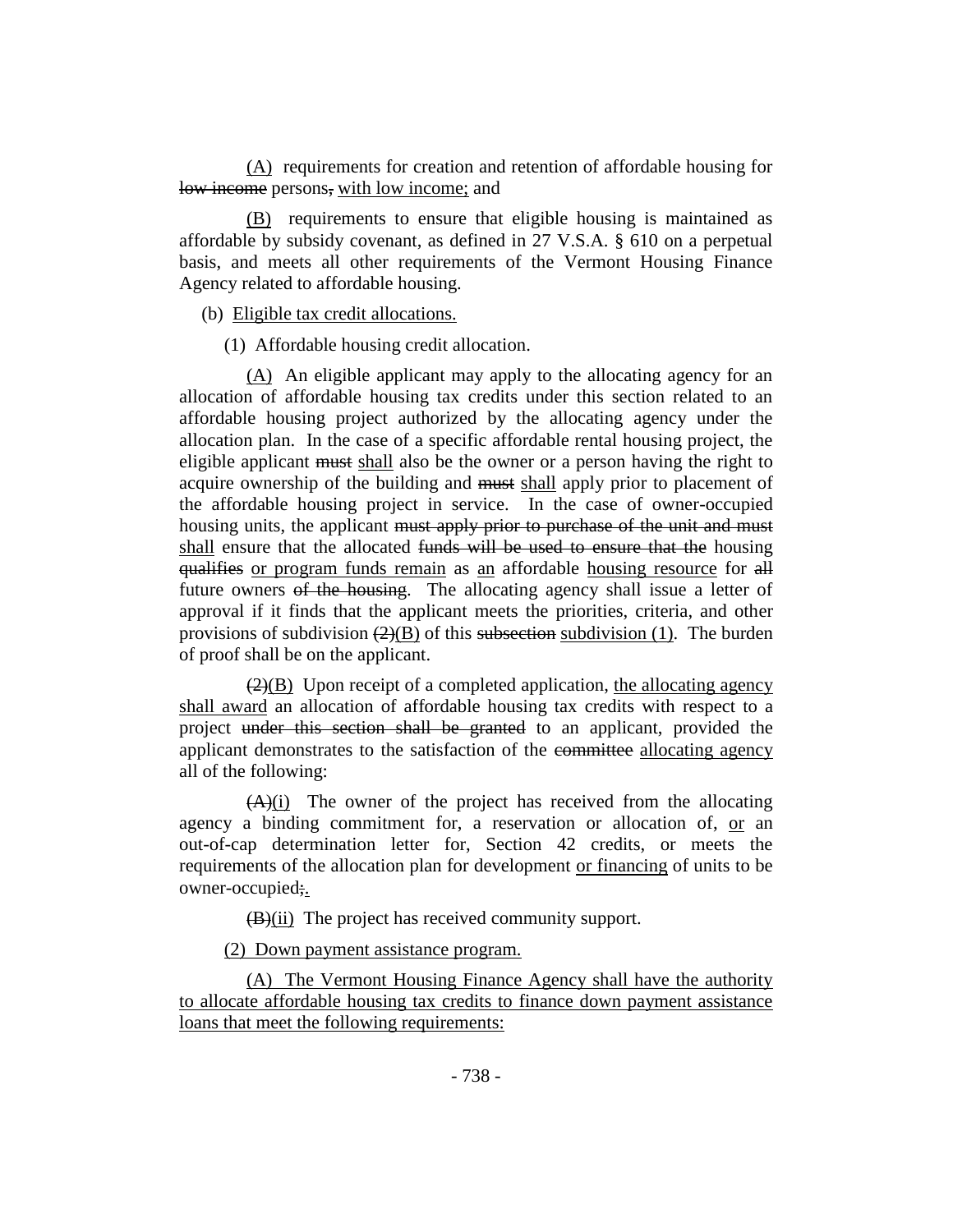(A) requirements for creation and retention of affordable housing for low income persons, with low income; and

(B) requirements to ensure that eligible housing is maintained as affordable by subsidy covenant, as defined in 27 V.S.A. § 610 on a perpetual basis, and meets all other requirements of the Vermont Housing Finance Agency related to affordable housing.

(b) Eligible tax credit allocations.

(1) Affordable housing credit allocation.

(A) An eligible applicant may apply to the allocating agency for an allocation of affordable housing tax credits under this section related to an affordable housing project authorized by the allocating agency under the allocation plan. In the case of a specific affordable rental housing project, the eligible applicant must shall also be the owner or a person having the right to acquire ownership of the building and must shall apply prior to placement of the affordable housing project in service. In the case of owner-occupied housing units, the applicant must apply prior to purchase of the unit and must shall ensure that the allocated funds will be used to ensure that the housing qualifies or program funds remain as an affordable housing resource for all future owners of the housing. The allocating agency shall issue a letter of approval if it finds that the applicant meets the priorities, criteria, and other provisions of subdivision  $(2)(B)$  of this subsection subdivision (1). The burden of proof shall be on the applicant.

 $\left(2\right)(B)$  Upon receipt of a completed application, the allocating agency shall award an allocation of affordable housing tax credits with respect to a project under this section shall be granted to an applicant, provided the applicant demonstrates to the satisfaction of the committee allocating agency all of the following:

 $(A)(i)$  The owner of the project has received from the allocating agency a binding commitment for, a reservation or allocation of, or an out-of-cap determination letter for, Section 42 credits, or meets the requirements of the allocation plan for development or financing of units to be owner-occupied;.

(B)(ii) The project has received community support.

(2) Down payment assistance program.

(A) The Vermont Housing Finance Agency shall have the authority to allocate affordable housing tax credits to finance down payment assistance loans that meet the following requirements: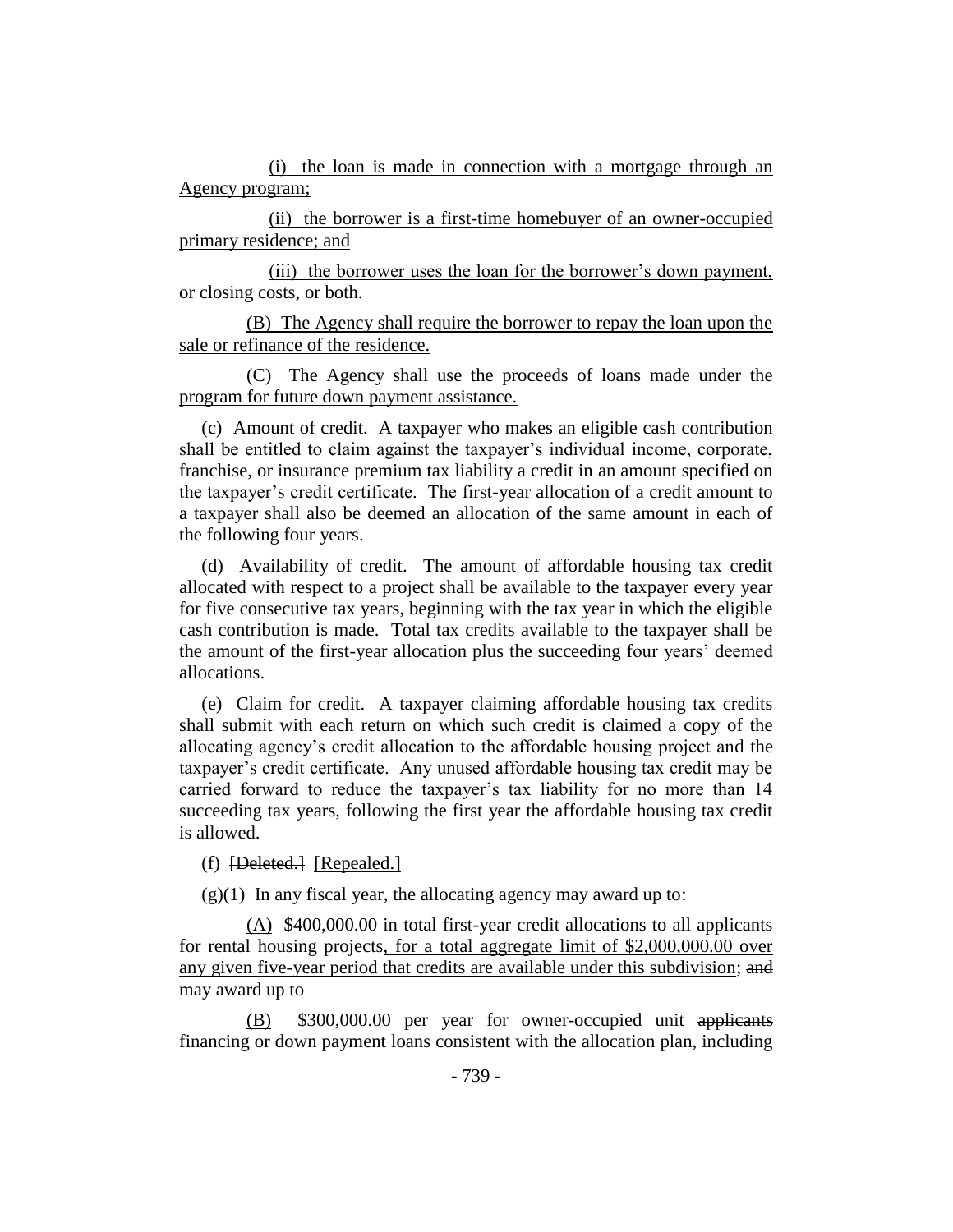(i) the loan is made in connection with a mortgage through an Agency program;

(ii) the borrower is a first-time homebuyer of an owner-occupied primary residence; and

(iii) the borrower uses the loan for the borrower's down payment, or closing costs, or both.

(B) The Agency shall require the borrower to repay the loan upon the sale or refinance of the residence.

(C) The Agency shall use the proceeds of loans made under the program for future down payment assistance.

(c) Amount of credit. A taxpayer who makes an eligible cash contribution shall be entitled to claim against the taxpayer's individual income, corporate, franchise, or insurance premium tax liability a credit in an amount specified on the taxpayer's credit certificate. The first-year allocation of a credit amount to a taxpayer shall also be deemed an allocation of the same amount in each of the following four years.

(d) Availability of credit. The amount of affordable housing tax credit allocated with respect to a project shall be available to the taxpayer every year for five consecutive tax years, beginning with the tax year in which the eligible cash contribution is made. Total tax credits available to the taxpayer shall be the amount of the first-year allocation plus the succeeding four years' deemed allocations.

(e) Claim for credit. A taxpayer claiming affordable housing tax credits shall submit with each return on which such credit is claimed a copy of the allocating agency's credit allocation to the affordable housing project and the taxpayer's credit certificate. Any unused affordable housing tax credit may be carried forward to reduce the taxpayer's tax liability for no more than 14 succeeding tax years, following the first year the affordable housing tax credit is allowed.

(f) [Deleted.] [Repealed.]

 $(g)(1)$  In any fiscal year, the allocating agency may award up to:

(A) \$400,000.00 in total first-year credit allocations to all applicants for rental housing projects, for a total aggregate limit of \$2,000,000.00 over any given five-year period that credits are available under this subdivision; and may award up to

(B) \$300,000.00 per year for owner-occupied unit applicants financing or down payment loans consistent with the allocation plan, including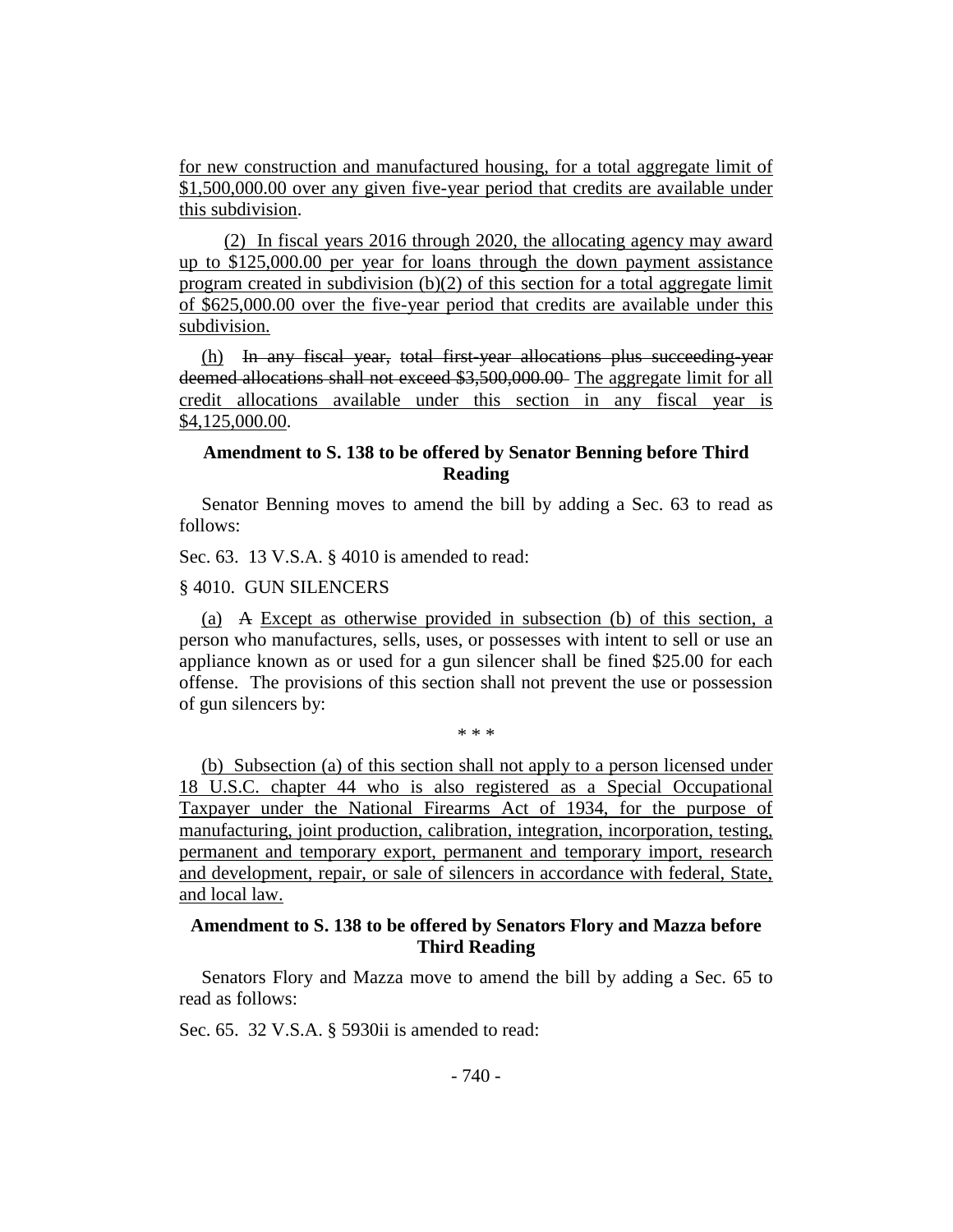for new construction and manufactured housing, for a total aggregate limit of \$1,500,000.00 over any given five-year period that credits are available under this subdivision.

(2) In fiscal years 2016 through 2020, the allocating agency may award up to \$125,000.00 per year for loans through the down payment assistance program created in subdivision  $(b)(2)$  of this section for a total aggregate limit of \$625,000.00 over the five-year period that credits are available under this subdivision.

(h) In any fiscal year, total first-year allocations plus succeeding-year deemed allocations shall not exceed \$3,500,000.00 The aggregate limit for all credit allocations available under this section in any fiscal year is \$4,125,000.00.

# **Amendment to S. 138 to be offered by Senator Benning before Third Reading**

Senator Benning moves to amend the bill by adding a Sec. 63 to read as follows:

Sec. 63. 13 V.S.A. § 4010 is amended to read:

§ 4010. GUN SILENCERS

(a) A Except as otherwise provided in subsection (b) of this section, a person who manufactures, sells, uses, or possesses with intent to sell or use an appliance known as or used for a gun silencer shall be fined \$25.00 for each offense. The provisions of this section shall not prevent the use or possession of gun silencers by:

\* \* \*

(b) Subsection (a) of this section shall not apply to a person licensed under 18 U.S.C. chapter 44 who is also registered as a Special Occupational Taxpayer under the National Firearms Act of 1934, for the purpose of manufacturing, joint production, calibration, integration, incorporation, testing, permanent and temporary export, permanent and temporary import, research and development, repair, or sale of silencers in accordance with federal, State, and local law.

# **Amendment to S. 138 to be offered by Senators Flory and Mazza before Third Reading**

Senators Flory and Mazza move to amend the bill by adding a Sec. 65 to read as follows:

Sec. 65. 32 V.S.A. § 5930ii is amended to read: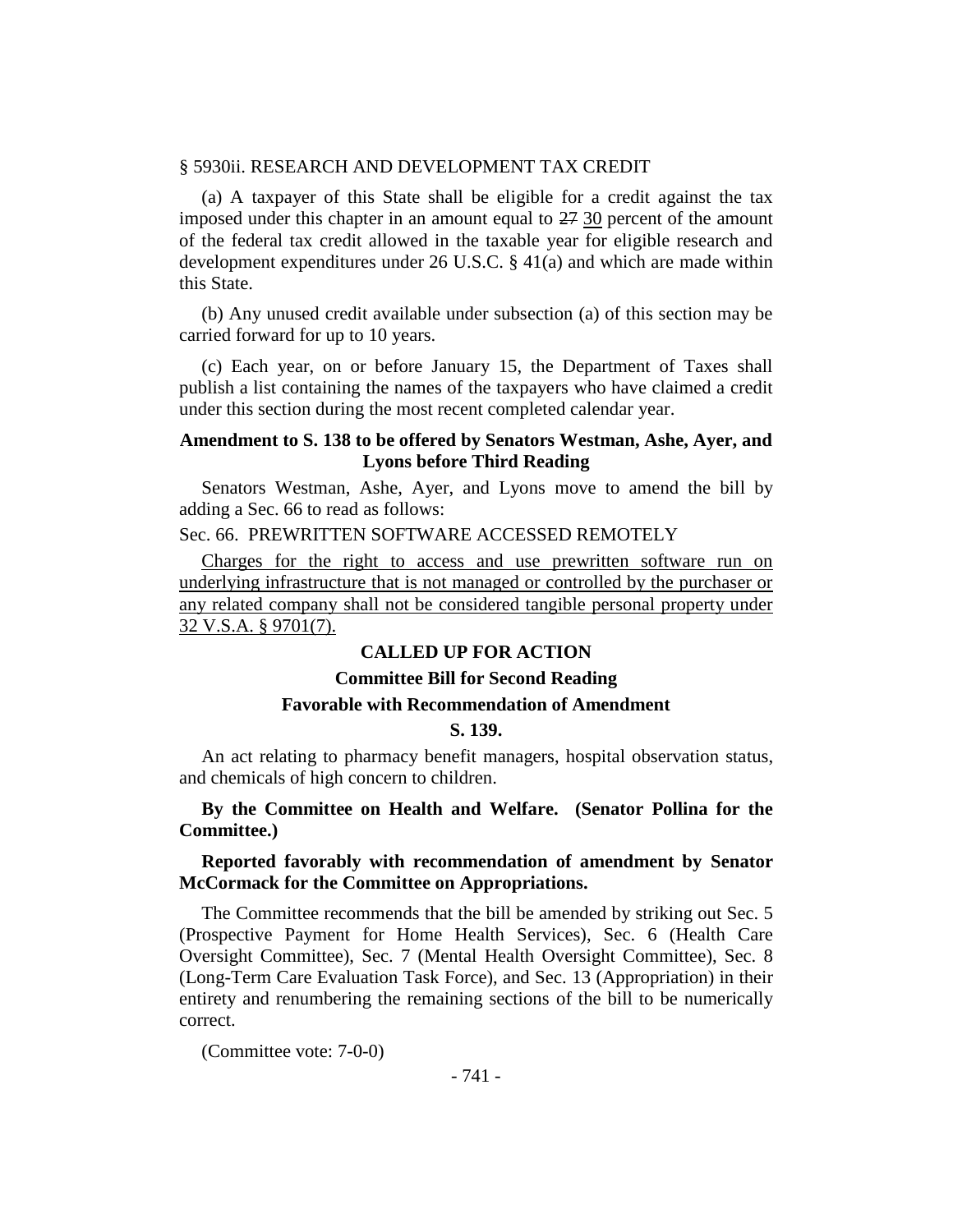#### § 5930ii. RESEARCH AND DEVELOPMENT TAX CREDIT

(a) A taxpayer of this State shall be eligible for a credit against the tax imposed under this chapter in an amount equal to  $27\frac{30}{27}$  percent of the amount of the federal tax credit allowed in the taxable year for eligible research and development expenditures under 26 U.S.C. § 41(a) and which are made within this State.

(b) Any unused credit available under subsection (a) of this section may be carried forward for up to 10 years.

(c) Each year, on or before January 15, the Department of Taxes shall publish a list containing the names of the taxpayers who have claimed a credit under this section during the most recent completed calendar year.

# **Amendment to S. 138 to be offered by Senators Westman, Ashe, Ayer, and Lyons before Third Reading**

Senators Westman, Ashe, Ayer, and Lyons move to amend the bill by adding a Sec. 66 to read as follows:

Sec. 66. PREWRITTEN SOFTWARE ACCESSED REMOTELY

Charges for the right to access and use prewritten software run on underlying infrastructure that is not managed or controlled by the purchaser or any related company shall not be considered tangible personal property under 32 V.S.A. § 9701(7).

## **CALLED UP FOR ACTION**

# **Committee Bill for Second Reading**

# **Favorable with Recommendation of Amendment**

# **S. 139.**

An act relating to pharmacy benefit managers, hospital observation status, and chemicals of high concern to children.

# **By the Committee on Health and Welfare. (Senator Pollina for the Committee.)**

#### **Reported favorably with recommendation of amendment by Senator McCormack for the Committee on Appropriations.**

The Committee recommends that the bill be amended by striking out Sec. 5 (Prospective Payment for Home Health Services), Sec. 6 (Health Care Oversight Committee), Sec. 7 (Mental Health Oversight Committee), Sec. 8 (Long-Term Care Evaluation Task Force), and Sec. 13 (Appropriation) in their entirety and renumbering the remaining sections of the bill to be numerically correct.

(Committee vote: 7-0-0)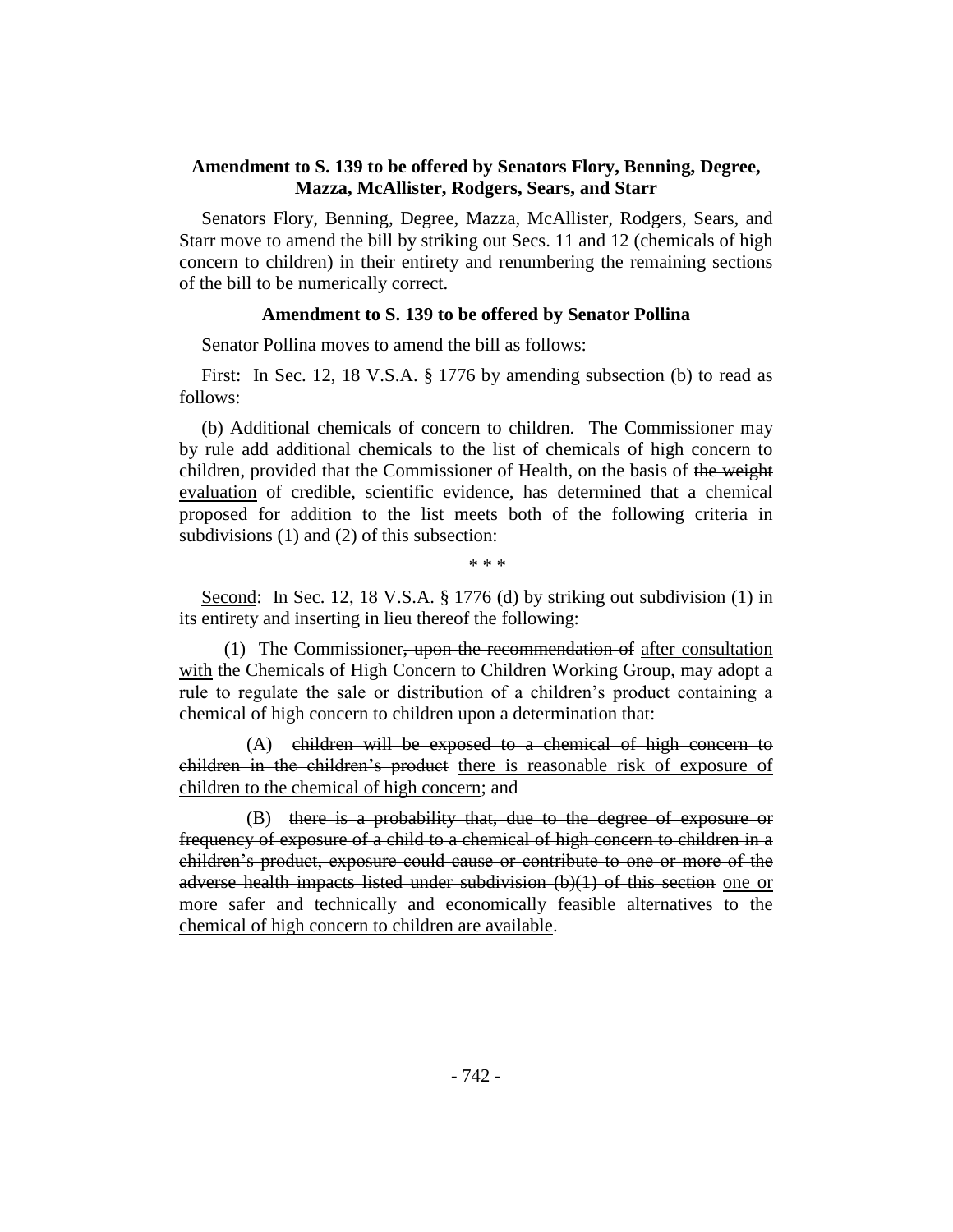# **Amendment to S. 139 to be offered by Senators Flory, Benning, Degree, Mazza, McAllister, Rodgers, Sears, and Starr**

Senators Flory, Benning, Degree, Mazza, McAllister, Rodgers, Sears, and Starr move to amend the bill by striking out Secs. 11 and 12 (chemicals of high concern to children) in their entirety and renumbering the remaining sections of the bill to be numerically correct.

#### **Amendment to S. 139 to be offered by Senator Pollina**

Senator Pollina moves to amend the bill as follows:

First: In Sec. 12, 18 V.S.A. § 1776 by amending subsection (b) to read as follows:

(b) Additional chemicals of concern to children. The Commissioner may by rule add additional chemicals to the list of chemicals of high concern to children, provided that the Commissioner of Health, on the basis of the weight evaluation of credible, scientific evidence, has determined that a chemical proposed for addition to the list meets both of the following criteria in subdivisions (1) and (2) of this subsection:

\* \* \*

Second: In Sec. 12, 18 V.S.A. § 1776 (d) by striking out subdivision (1) in its entirety and inserting in lieu thereof the following:

(1) The Commissioner, upon the recommendation of after consultation with the Chemicals of High Concern to Children Working Group, may adopt a rule to regulate the sale or distribution of a children's product containing a chemical of high concern to children upon a determination that:

(A) children will be exposed to a chemical of high concern to children in the children's product there is reasonable risk of exposure of children to the chemical of high concern; and

(B) there is a probability that, due to the degree of exposure or frequency of exposure of a child to a chemical of high concern to children in a children's product, exposure could cause or contribute to one or more of the adverse health impacts listed under subdivision (b)(1) of this section one or more safer and technically and economically feasible alternatives to the chemical of high concern to children are available.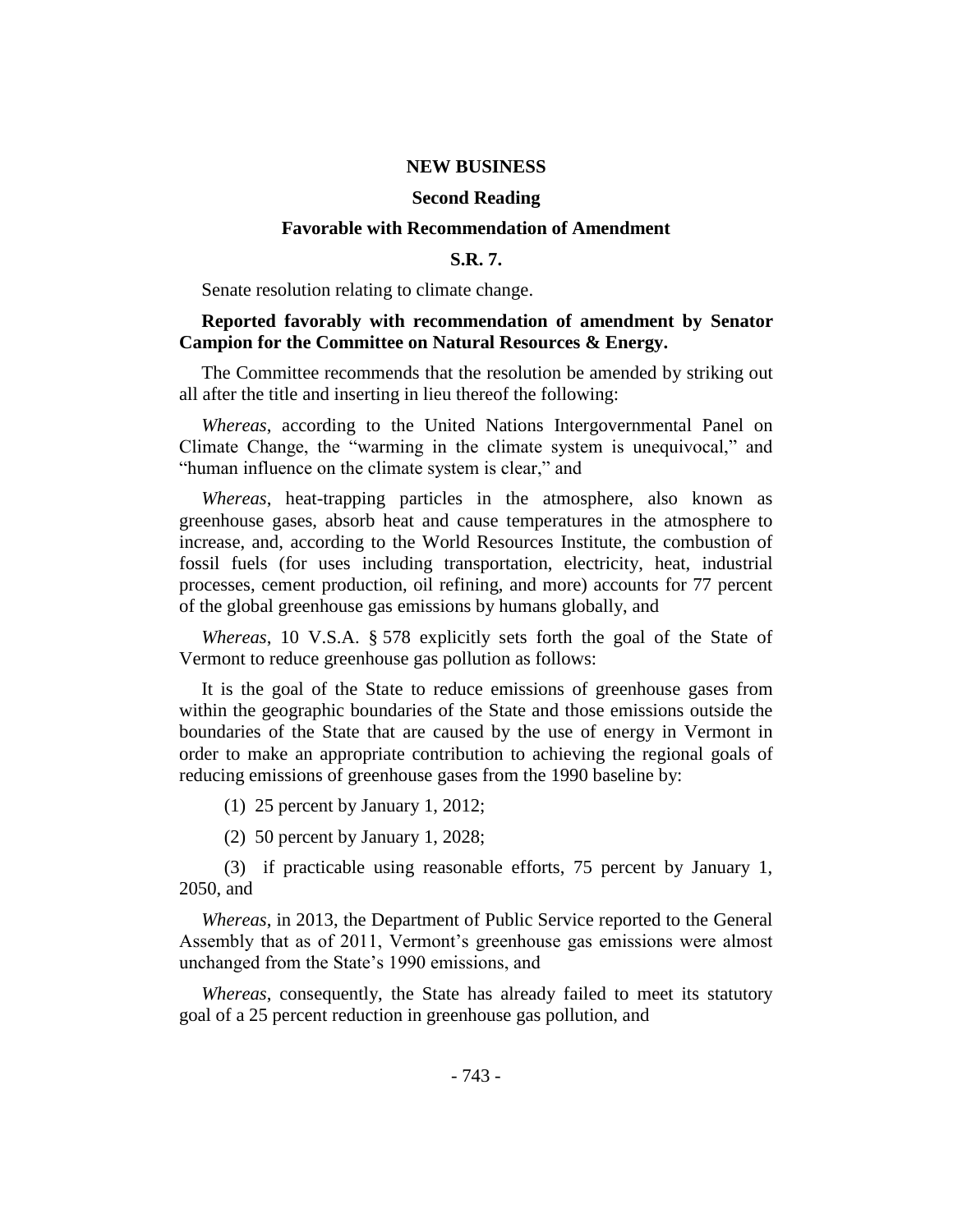#### **NEW BUSINESS**

#### **Second Reading**

#### **Favorable with Recommendation of Amendment**

#### **S.R. 7.**

Senate resolution relating to climate change.

## **Reported favorably with recommendation of amendment by Senator Campion for the Committee on Natural Resources & Energy.**

The Committee recommends that the resolution be amended by striking out all after the title and inserting in lieu thereof the following:

*Whereas*, according to the United Nations Intergovernmental Panel on Climate Change, the "warming in the climate system is unequivocal," and "human influence on the climate system is clear," and

*Whereas*, heat-trapping particles in the atmosphere, also known as greenhouse gases, absorb heat and cause temperatures in the atmosphere to increase, and, according to the World Resources Institute, the combustion of fossil fuels (for uses including transportation, electricity, heat, industrial processes, cement production, oil refining, and more) accounts for 77 percent of the global greenhouse gas emissions by humans globally, and

*Whereas*, 10 V.S.A. § 578 explicitly sets forth the goal of the State of Vermont to reduce greenhouse gas pollution as follows:

It is the goal of the State to reduce emissions of greenhouse gases from within the geographic boundaries of the State and those emissions outside the boundaries of the State that are caused by the use of energy in Vermont in order to make an appropriate contribution to achieving the regional goals of reducing emissions of greenhouse gases from the 1990 baseline by:

(1) 25 percent by January 1, 2012;

(2) 50 percent by January 1, 2028;

(3) if practicable using reasonable efforts, 75 percent by January 1, 2050, and

*Whereas*, in 2013, the Department of Public Service reported to the General Assembly that as of 2011, Vermont's greenhouse gas emissions were almost unchanged from the State's 1990 emissions, and

*Whereas*, consequently, the State has already failed to meet its statutory goal of a 25 percent reduction in greenhouse gas pollution, and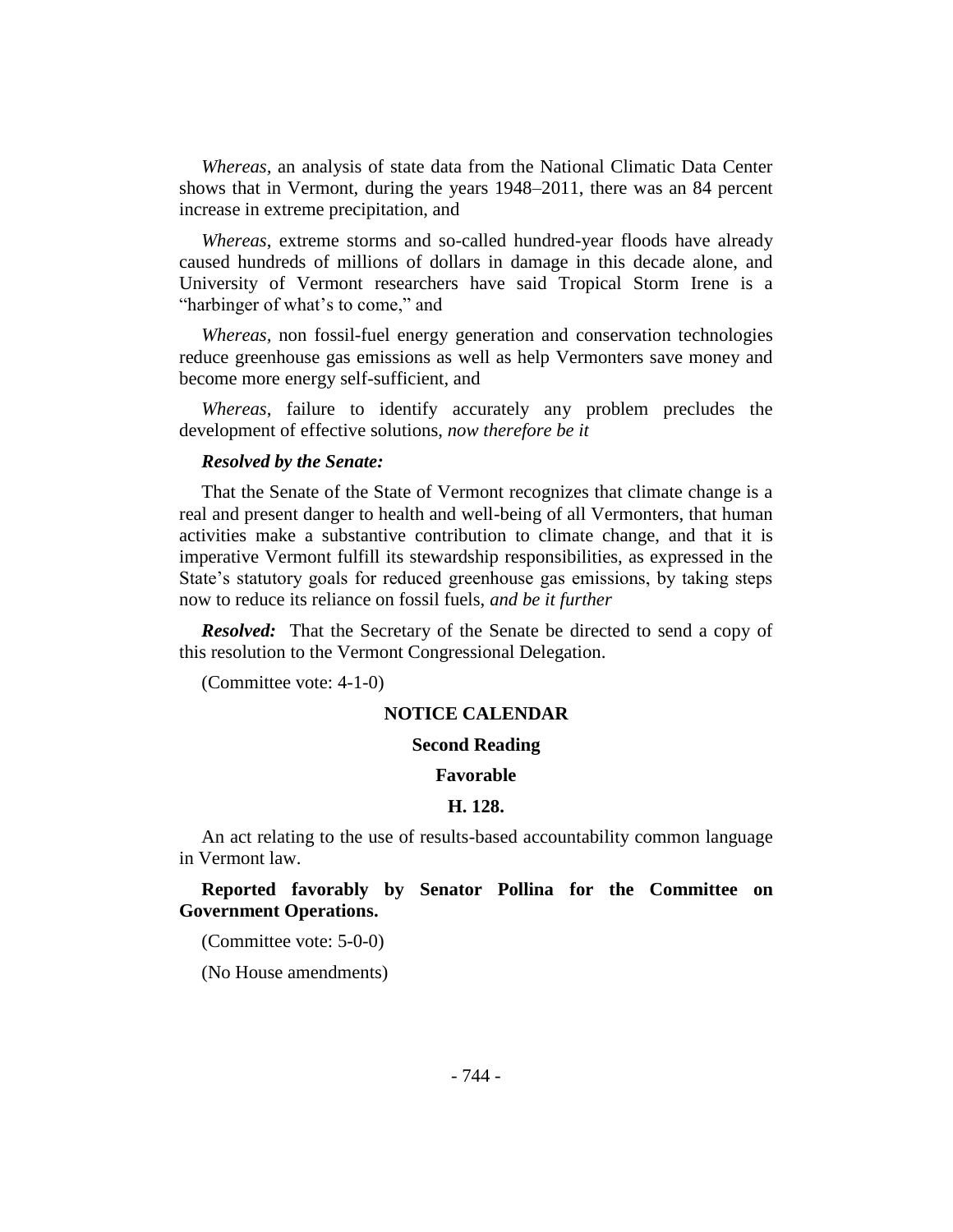*Whereas,* an analysis of state data from the National Climatic Data Center shows that in Vermont, during the years 1948–2011, there was an 84 percent increase in extreme precipitation, and

*Whereas*, extreme storms and so-called hundred-year floods have already caused hundreds of millions of dollars in damage in this decade alone, and University of Vermont researchers have said Tropical Storm Irene is a "harbinger of what's to come," and

*Whereas,* non fossil-fuel energy generation and conservation technologies reduce greenhouse gas emissions as well as help Vermonters save money and become more energy self-sufficient, and

*Whereas*, failure to identify accurately any problem precludes the development of effective solutions, *now therefore be it*

#### *Resolved by the Senate:*

That the Senate of the State of Vermont recognizes that climate change is a real and present danger to health and well-being of all Vermonters, that human activities make a substantive contribution to climate change, and that it is imperative Vermont fulfill its stewardship responsibilities, as expressed in the State's statutory goals for reduced greenhouse gas emissions, by taking steps now to reduce its reliance on fossil fuels, *and be it further*

*Resolved:* That the Secretary of the Senate be directed to send a copy of this resolution to the Vermont Congressional Delegation.

(Committee vote: 4-1-0)

#### **NOTICE CALENDAR**

#### **Second Reading**

#### **Favorable**

#### **H. 128.**

An act relating to the use of results-based accountability common language in Vermont law.

# **Reported favorably by Senator Pollina for the Committee on Government Operations.**

(Committee vote: 5-0-0)

(No House amendments)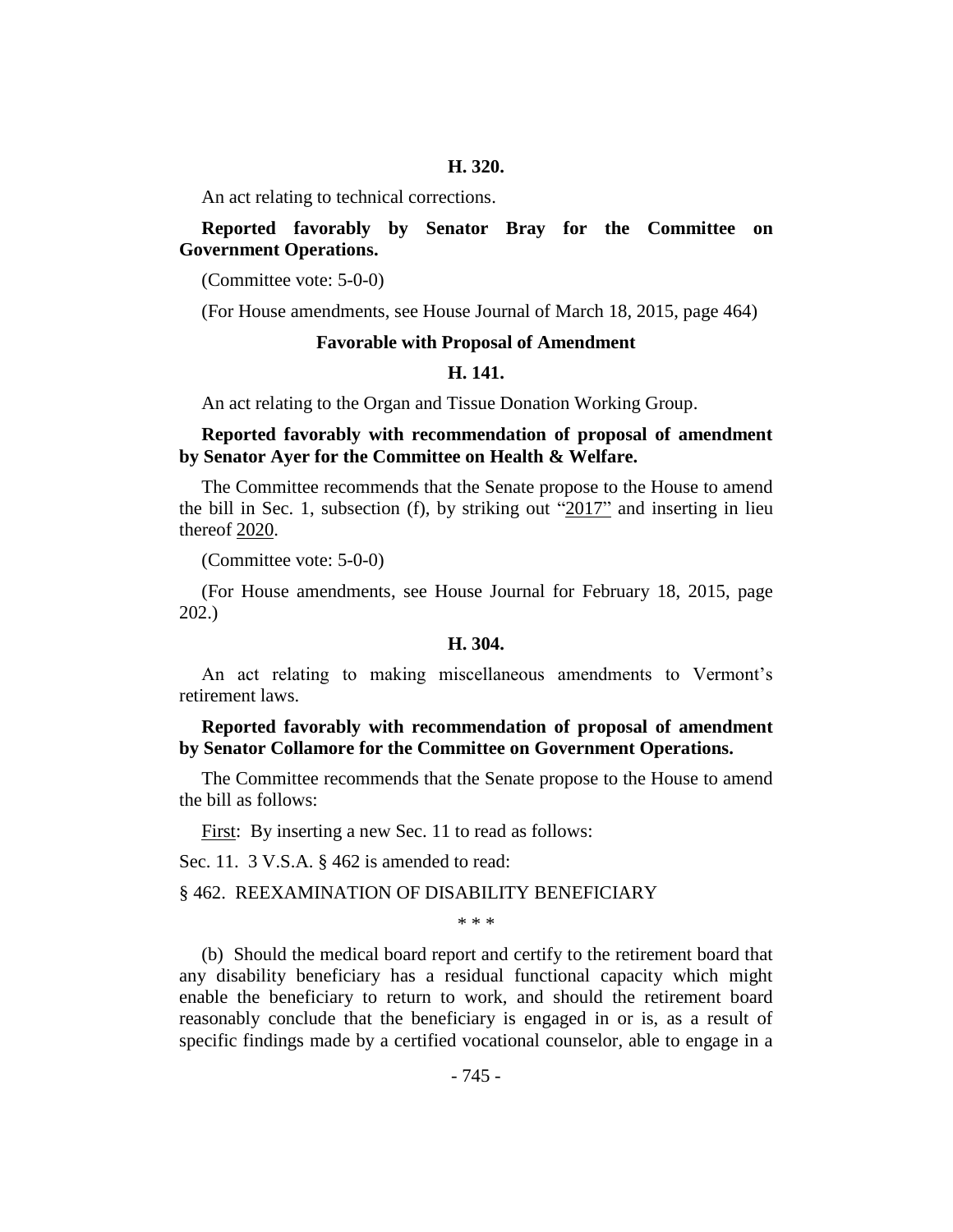#### **H. 320.**

An act relating to technical corrections.

# **Reported favorably by Senator Bray for the Committee on Government Operations.**

(Committee vote: 5-0-0)

(For House amendments, see House Journal of March 18, 2015, page 464)

#### **Favorable with Proposal of Amendment**

#### **H. 141.**

An act relating to the Organ and Tissue Donation Working Group.

## **Reported favorably with recommendation of proposal of amendment by Senator Ayer for the Committee on Health & Welfare.**

The Committee recommends that the Senate propose to the House to amend the bill in Sec. 1, subsection (f), by striking out " $2017$ " and inserting in lieu thereof 2020.

(Committee vote: 5-0-0)

(For House amendments, see House Journal for February 18, 2015, page 202.)

#### **H. 304.**

An act relating to making miscellaneous amendments to Vermont's retirement laws.

# **Reported favorably with recommendation of proposal of amendment by Senator Collamore for the Committee on Government Operations.**

The Committee recommends that the Senate propose to the House to amend the bill as follows:

First: By inserting a new Sec. 11 to read as follows:

Sec. 11. 3 V.S.A. § 462 is amended to read:

#### § 462. REEXAMINATION OF DISABILITY BENEFICIARY

\* \* \*

(b) Should the medical board report and certify to the retirement board that any disability beneficiary has a residual functional capacity which might enable the beneficiary to return to work, and should the retirement board reasonably conclude that the beneficiary is engaged in or is, as a result of specific findings made by a certified vocational counselor, able to engage in a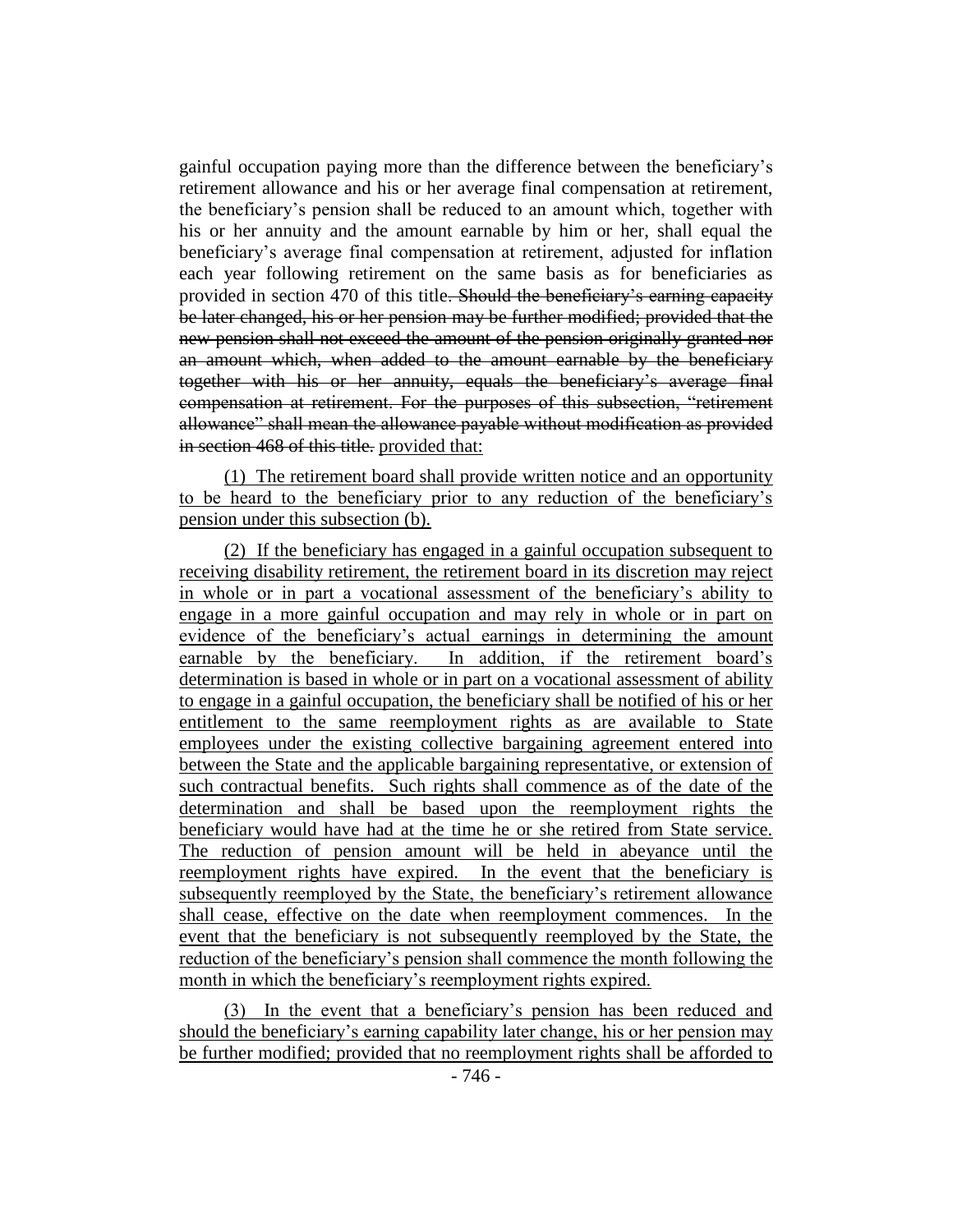gainful occupation paying more than the difference between the beneficiary's retirement allowance and his or her average final compensation at retirement, the beneficiary's pension shall be reduced to an amount which, together with his or her annuity and the amount earnable by him or her, shall equal the beneficiary's average final compensation at retirement, adjusted for inflation each year following retirement on the same basis as for beneficiaries as provided in section 470 of this title. Should the beneficiary's earning capacity be later changed, his or her pension may be further modified; provided that the new pension shall not exceed the amount of the pension originally granted nor an amount which, when added to the amount earnable by the beneficiary together with his or her annuity, equals the beneficiary's average final compensation at retirement. For the purposes of this subsection, "retirement allowance" shall mean the allowance payable without modification as provided in section 468 of this title. provided that:

(1) The retirement board shall provide written notice and an opportunity to be heard to the beneficiary prior to any reduction of the beneficiary's pension under this subsection (b).

(2) If the beneficiary has engaged in a gainful occupation subsequent to receiving disability retirement, the retirement board in its discretion may reject in whole or in part a vocational assessment of the beneficiary's ability to engage in a more gainful occupation and may rely in whole or in part on evidence of the beneficiary's actual earnings in determining the amount earnable by the beneficiary. In addition, if the retirement board's determination is based in whole or in part on a vocational assessment of ability to engage in a gainful occupation, the beneficiary shall be notified of his or her entitlement to the same reemployment rights as are available to State employees under the existing collective bargaining agreement entered into between the State and the applicable bargaining representative, or extension of such contractual benefits. Such rights shall commence as of the date of the determination and shall be based upon the reemployment rights the beneficiary would have had at the time he or she retired from State service. The reduction of pension amount will be held in abeyance until the reemployment rights have expired. In the event that the beneficiary is subsequently reemployed by the State, the beneficiary's retirement allowance shall cease, effective on the date when reemployment commences. In the event that the beneficiary is not subsequently reemployed by the State, the reduction of the beneficiary's pension shall commence the month following the month in which the beneficiary's reemployment rights expired.

(3) In the event that a beneficiary's pension has been reduced and should the beneficiary's earning capability later change, his or her pension may be further modified; provided that no reemployment rights shall be afforded to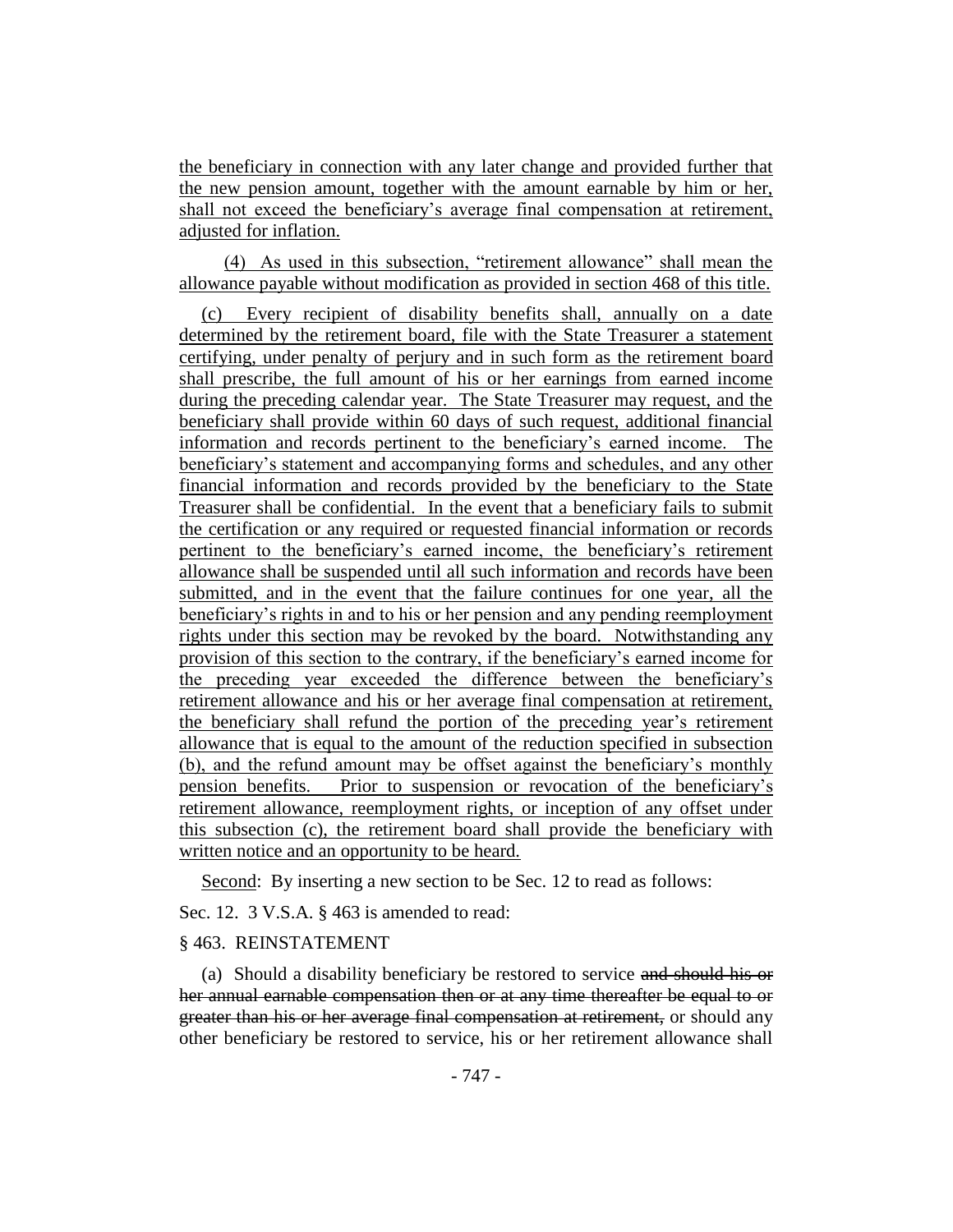the beneficiary in connection with any later change and provided further that the new pension amount, together with the amount earnable by him or her, shall not exceed the beneficiary's average final compensation at retirement, adjusted for inflation.

(4) As used in this subsection, "retirement allowance" shall mean the allowance payable without modification as provided in section 468 of this title.

(c) Every recipient of disability benefits shall, annually on a date determined by the retirement board, file with the State Treasurer a statement certifying, under penalty of perjury and in such form as the retirement board shall prescribe, the full amount of his or her earnings from earned income during the preceding calendar year. The State Treasurer may request, and the beneficiary shall provide within 60 days of such request, additional financial information and records pertinent to the beneficiary's earned income. The beneficiary's statement and accompanying forms and schedules, and any other financial information and records provided by the beneficiary to the State Treasurer shall be confidential. In the event that a beneficiary fails to submit the certification or any required or requested financial information or records pertinent to the beneficiary's earned income, the beneficiary's retirement allowance shall be suspended until all such information and records have been submitted, and in the event that the failure continues for one year, all the beneficiary's rights in and to his or her pension and any pending reemployment rights under this section may be revoked by the board. Notwithstanding any provision of this section to the contrary, if the beneficiary's earned income for the preceding year exceeded the difference between the beneficiary's retirement allowance and his or her average final compensation at retirement, the beneficiary shall refund the portion of the preceding year's retirement allowance that is equal to the amount of the reduction specified in subsection (b), and the refund amount may be offset against the beneficiary's monthly pension benefits. Prior to suspension or revocation of the beneficiary's retirement allowance, reemployment rights, or inception of any offset under this subsection (c), the retirement board shall provide the beneficiary with written notice and an opportunity to be heard.

Second: By inserting a new section to be Sec. 12 to read as follows:

Sec. 12. 3 V.S.A. § 463 is amended to read:

# § 463. REINSTATEMENT

(a) Should a disability beneficiary be restored to service and should his or her annual earnable compensation then or at any time thereafter be equal to or greater than his or her average final compensation at retirement, or should any other beneficiary be restored to service, his or her retirement allowance shall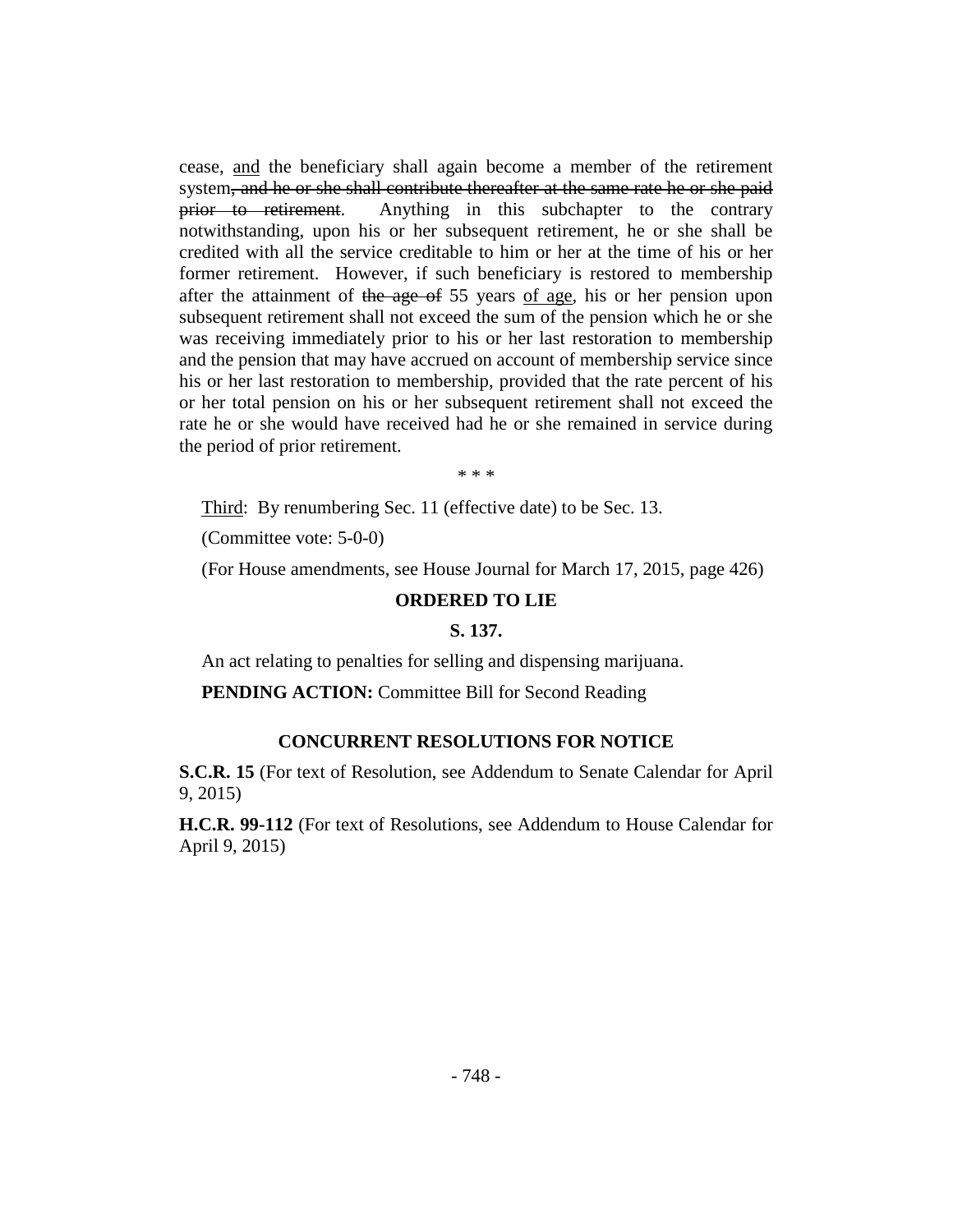cease, and the beneficiary shall again become a member of the retirement system, and he or she shall contribute thereafter at the same rate he or she paid prior to retirement. Anything in this subchapter to the contrary notwithstanding, upon his or her subsequent retirement, he or she shall be credited with all the service creditable to him or her at the time of his or her former retirement. However, if such beneficiary is restored to membership after the attainment of the age of 55 years of age, his or her pension upon subsequent retirement shall not exceed the sum of the pension which he or she was receiving immediately prior to his or her last restoration to membership and the pension that may have accrued on account of membership service since his or her last restoration to membership, provided that the rate percent of his or her total pension on his or her subsequent retirement shall not exceed the rate he or she would have received had he or she remained in service during the period of prior retirement.

\* \* \*

Third: By renumbering Sec. 11 (effective date) to be Sec. 13.

(Committee vote: 5-0-0)

(For House amendments, see House Journal for March 17, 2015, page 426)

#### **ORDERED TO LIE**

#### **S. 137.**

An act relating to penalties for selling and dispensing marijuana.

**PENDING ACTION:** Committee Bill for Second Reading

#### **CONCURRENT RESOLUTIONS FOR NOTICE**

**S.C.R. 15** (For text of Resolution, see Addendum to Senate Calendar for April 9, 2015)

**H.C.R. 99-112** (For text of Resolutions, see Addendum to House Calendar for April 9, 2015)